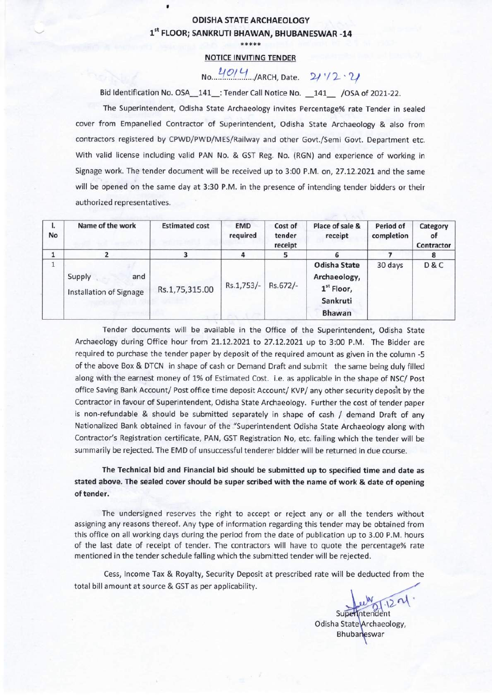## ODISHA STATE ARCHAEOLOGY 1st FLOOR; SANKRUTI BHAWAN, BHUBANESWAR -14

 $\bullet$ 

# \*\*\*\*\*

#### NOTICE INVITING TENDER

# No. 4014 ./ARCH, Date. 21'12.21

Bid Identification No. OSA\_141\_: Tender Call Notice No. \_141\_ /OSA of 2021-22.

The Superintendent, Odisha State Archaeology invites Percentage% rate Tender in sealed cover from Empanelled Contractor of Superintendent, Odisha State Archaeology & also from contractors registered by CPWD/PWD/MES/Railway and other Govt./Semi Govt. Department etc. With valid license including valid PAN No. & GST Reg. No. (RGN) and experience of working in Signage work. The tender document will be received up to 3:00 P.M. on, 27.12.2021 and the same will be opened on the same day at 3:30 P.M. in the presence of intending tender bidders or their authorized representatives.

| ı.<br><b>No</b> | Name of the work                         | <b>Estimated cost</b> | <b>EMD</b><br>required | Cost of<br>tender<br>receipt | Place of sale &<br>receipt                                                | Period of<br>completion | Category<br>0f<br>Contractor |
|-----------------|------------------------------------------|-----------------------|------------------------|------------------------------|---------------------------------------------------------------------------|-------------------------|------------------------------|
|                 |                                          |                       | 4                      |                              |                                                                           |                         |                              |
|                 | Supply<br>and<br>Installation of Signage | Rs.1,75,315.00        | Rs.1,753/-             | Rs.672/-                     | Odisha State<br>Archaeology,<br>$1st$ Floor,<br>Sankruti<br><b>Bhawan</b> | 30 days                 | D&C                          |

Tender documents will be available in the Office of the Superintendent, Odisha State Archaeology during Office hour from 21.12.2021 to 27.12.2021 up to 3:00 P.M. The Bidder are required to purchase the tender paper by deposit of the required amount as given in the column -5 of the above Box & DTCN in shape of cash or Demand Draft and submit the same being duly filled along with the earnest money of 1% of Estimated Cost. i.e. as applicable in the shape of NSC/ Post office Saving Bank Account/ Post office time deposit Account/ KVP/ any other security deposit by the Contractor in favour of Superintendent, Odisha State Archaeology. Further the cost of tender paper is non-refundable & should be submitted separately in shape of cash / demand Draft of any Nationalized Bank obtained in favour of the "Superintendent Odisha State Archaeology along with Contractor's Registration certificate, PAN, GST Registration No, etc. failing which the tender will be summarily be rejected. The EMD of unsuccessful tenderer bidder will be returned in due course.

## The Technical bid and Financial bid should be submitted up to specified time and date as stated above. The sealed cover should be super scribed with the name of work & date of opening of tender.

The undersigned reserves the right to accept or reject any or all the tenders without assigning any reasons thereof. Any type of information regarding this tender may be obtained from this office on all working days during the period from the date of publication up to 3.00 P.M. hours of the last date of receipt of tender. The contractors will have to quote the percentage% rate mentioned in the tender schedule falling which the submitted tender will be rejected.

Cess, Income Tax & Royalty, Security Deposit at prescribed rate will be deducted from the total bill amount at source & GST as per applicability.

 $21.1291$ 

Superintendent Odisha State Archaeology, Bhubaneswar